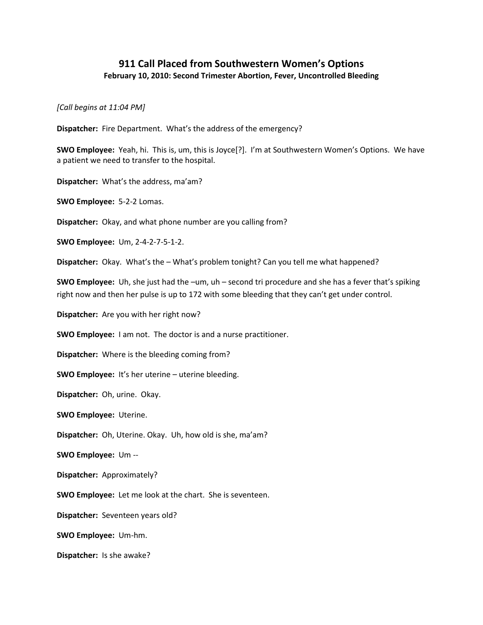## **911 Call Placed from Southwestern Women's Options February 10, 2010: Second Trimester Abortion, Fever, Uncontrolled Bleeding**

*[Call begins at 11:04 PM]*

**Dispatcher:** Fire Department. What's the address of the emergency?

**SWO Employee:** Yeah, hi. This is, um, this is Joyce[?]. I'm at Southwestern Women's Options. We have a patient we need to transfer to the hospital.

**Dispatcher:** What's the address, ma'am?

**SWO Employee:** 5-2-2 Lomas.

**Dispatcher:** Okay, and what phone number are you calling from?

**SWO Employee:** Um, 2-4-2-7-5-1-2.

**Dispatcher:** Okay. What's the – What's problem tonight? Can you tell me what happened?

**SWO Employee:** Uh, she just had the –um, uh – second tri procedure and she has a fever that's spiking right now and then her pulse is up to 172 with some bleeding that they can't get under control.

**Dispatcher:** Are you with her right now?

**SWO Employee:** I am not. The doctor is and a nurse practitioner.

**Dispatcher:** Where is the bleeding coming from?

**SWO Employee:** It's her uterine – uterine bleeding.

**Dispatcher:** Oh, urine. Okay.

**SWO Employee:** Uterine.

**Dispatcher:** Oh, Uterine. Okay. Uh, how old is she, ma'am?

**SWO Employee:** Um --

**Dispatcher:** Approximately?

**SWO Employee:** Let me look at the chart. She is seventeen.

**Dispatcher:** Seventeen years old?

**SWO Employee:** Um-hm.

**Dispatcher:** Is she awake?